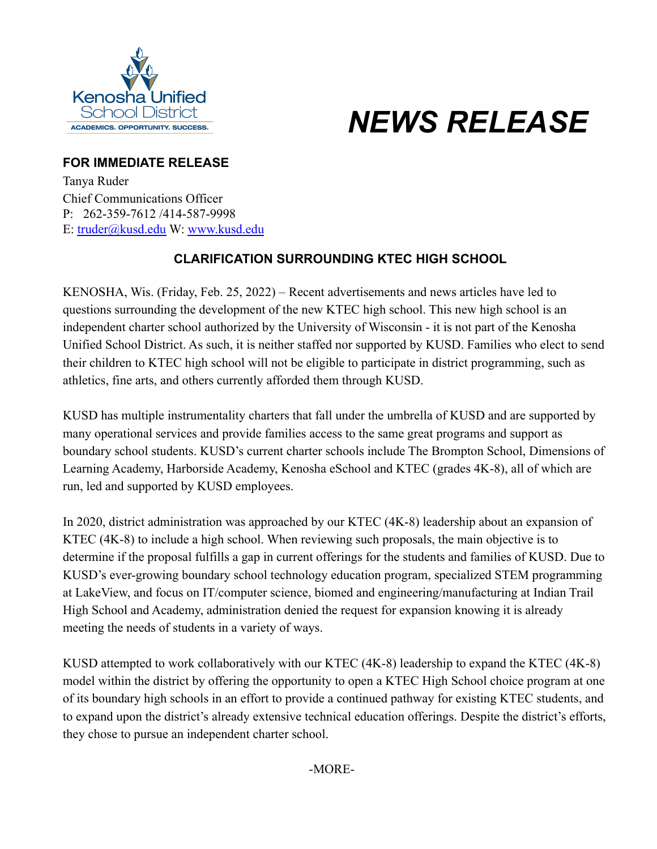

## *NEWS RELEASE*

## **FOR IMMEDIATE RELEASE**

Tanya Ruder Chief Communications Officer P: 262-359-7612 /414-587-9998 E: [truder@kusd.edu](mailto:truder@kusd.edu) W: [www.kusd.edu](http://www.kusd.edu/)

## **CLARIFICATION SURROUNDING KTEC HIGH SCHOOL**

KENOSHA, Wis. (Friday, Feb. 25, 2022) – Recent advertisements and news articles have led to questions surrounding the development of the new KTEC high school. This new high school is an independent charter school authorized by the University of Wisconsin - it is not part of the Kenosha Unified School District. As such, it is neither staffed nor supported by KUSD. Families who elect to send their children to KTEC high school will not be eligible to participate in district programming, such as athletics, fine arts, and others currently afforded them through KUSD.

KUSD has multiple instrumentality charters that fall under the umbrella of KUSD and are supported by many operational services and provide families access to the same great programs and support as boundary school students. KUSD's current charter schools include The Brompton School, Dimensions of Learning Academy, Harborside Academy, Kenosha eSchool and KTEC (grades 4K-8), all of which are run, led and supported by KUSD employees.

In 2020, district administration was approached by our KTEC (4K-8) leadership about an expansion of KTEC (4K-8) to include a high school. When reviewing such proposals, the main objective is to determine if the proposal fulfills a gap in current offerings for the students and families of KUSD. Due to KUSD's ever-growing boundary school technology education program, specialized STEM programming at LakeView, and focus on IT/computer science, biomed and engineering/manufacturing at Indian Trail High School and Academy, administration denied the request for expansion knowing it is already meeting the needs of students in a variety of ways.

KUSD attempted to work collaboratively with our KTEC (4K-8) leadership to expand the KTEC (4K-8) model within the district by offering the opportunity to open a KTEC High School choice program at one of its boundary high schools in an effort to provide a continued pathway for existing KTEC students, and to expand upon the district's already extensive technical education offerings. Despite the district's efforts, they chose to pursue an independent charter school.

-MORE-